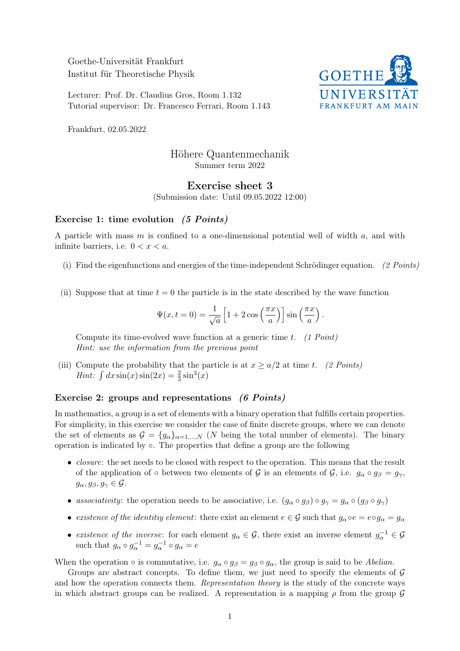Goethe-Universität Frankfurt Institut für Theoretische Physik

Lecturer: Prof. Dr. Claudius Gros, Room 1.132 Tutorial supervisor: Dr. Francesco Ferrari, Room 1.143



Frankfurt, 02.05.2022

# Höhere Quantenmechanik Summer term 2022

## Exercise sheet 3

(Submission date: Until 09.05.2022 12:00)

#### Exercise 1: time evolution (5 Points)

A particle with mass m is confined to a one-dimensional potential well of width a, and with infinite barriers, i.e.  $0 < x < a$ .

- (i) Find the eigenfunctions and energies of the time-independent Schrödinger equation. (2 Points)
- (ii) Suppose that at time  $t = 0$  the particle is in the state described by the wave function

$$
\Psi(x,t=0) = \frac{1}{\sqrt{a}} \left[ 1 + 2 \cos\left(\frac{\pi x}{a}\right) \right] \sin\left(\frac{\pi x}{a}\right).
$$

Compute its time-evolved wave function at a generic time t.  $(1 Point)$ Hint: use the information from the previous point

(iii) Compute the probability that the particle is at  $x \ge a/2$  at time t. (2 Points) *Hint*:  $\int dx \sin(x) \sin(2x) = \frac{2}{3} \sin^3(x)$ 

## Exercise 2: groups and representations (6 Points)

In mathematics, a group is a set of elements with a binary operation that fulfills certain properties. For simplicity, in this exercise we consider the case of finite discrete groups, where we can denote the set of elements as  $\mathcal{G} = \{g_{\alpha}\}_{{\alpha=1,\ldots,N}}$  (N being the total number of elements). The binary operation is indicated by ◦. The properties that define a group are the following

- *closure*: the set needs to be closed with respect to the operation. This means that the result of the application of ◦ between two elements of  $\mathcal G$  is an elements of  $\mathcal G$ , i.e.  $g_{\alpha} \circ g_{\beta} = g_{\gamma}$ ,  $g_{\alpha}, g_{\beta}, g_{\gamma} \in \mathcal{G}.$
- associativity: the operation needs to be associative, i.e.  $(g_{\alpha} \circ g_{\beta}) \circ g_{\gamma} = g_{\alpha} \circ (g_{\beta} \circ g_{\gamma})$
- existence of the identitive element: there exist an element  $e \in \mathcal{G}$  such that  $g_\alpha \circ e = e \circ g_\alpha = g_\alpha$
- existence of the inverse: for each element  $g_{\alpha} \in \mathcal{G}$ , there exist an inverse element  $g_{\alpha}^{-1} \in \mathcal{G}$ such that  $g_{\alpha} \circ g_{\alpha}^{-1} = g_{\alpha}^{-1} \circ g_{\alpha} = e$

When the operation  $\circ$  is commutative, i.e.  $g_{\alpha} \circ g_{\beta} = g_{\beta} \circ g_{\alpha}$ , the group is said to be *Abelian*.

Groups are abstract concepts. To define them, we just need to specify the elements of  $\mathcal G$ and how the operation connects them. Representation theory is the study of the concrete ways in which abstract groups can be realized. A representation is a mapping  $\rho$  from the group  $\mathcal G$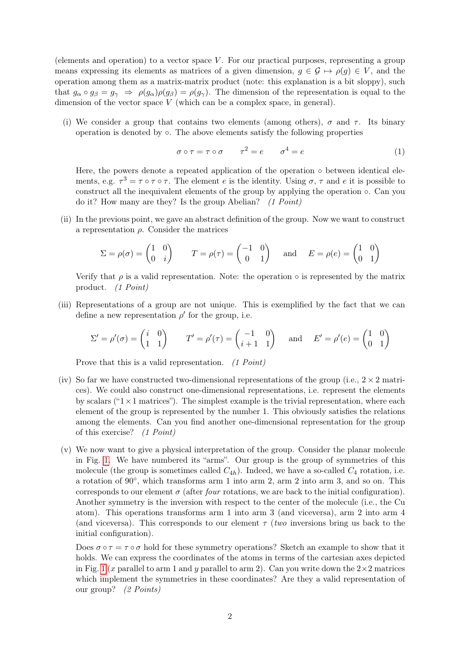(elements and operation) to a vector space  $V$ . For our practical purposes, representing a group means expressing its elements as matrices of a given dimension,  $g \in \mathcal{G} \mapsto \rho(g) \in V$ , and the operation among them as a matrix-matrix product (note: this explanation is a bit sloppy), such that  $g_{\alpha} \circ g_{\beta} = g_{\gamma} \Rightarrow \rho(g_{\alpha}) \rho(g_{\beta}) = \rho(g_{\gamma})$ . The dimension of the representation is equal to the dimension of the vector space  $V$  (which can be a complex space, in general).

(i) We consider a group that contains two elements (among others),  $\sigma$  and  $\tau$ . Its binary operation is denoted by ◦. The above elements satisfy the following properties

$$
\sigma \circ \tau = \tau \circ \sigma \qquad \tau^2 = e \qquad \sigma^4 = e \tag{1}
$$

Here, the powers denote a repeated application of the operation  $\circ$  between identical elements, e.g.  $\tau^3 = \tau \circ \tau \circ \tau$ . The element e is the identity. Using  $\sigma$ ,  $\tau$  and e it is possible to construct all the inequivalent elements of the group by applying the operation ◦. Can you do it? How many are they? Is the group Abelian?  $(1 Point)$ 

(ii) In the previous point, we gave an abstract definition of the group. Now we want to construct a representation ρ. Consider the matrices

$$
\Sigma = \rho(\sigma) = \begin{pmatrix} 1 & 0 \\ 0 & i \end{pmatrix} \qquad T = \rho(\tau) = \begin{pmatrix} -1 & 0 \\ 0 & 1 \end{pmatrix} \quad \text{and} \quad E = \rho(e) = \begin{pmatrix} 1 & 0 \\ 0 & 1 \end{pmatrix}
$$

Verify that  $\rho$  is a valid representation. Note: the operation  $\circ$  is represented by the matrix product. (1 Point)

(iii) Representations of a group are not unique. This is exemplified by the fact that we can define a new representation  $\rho'$  for the group, i.e.

$$
\Sigma' = \rho'(\sigma) = \begin{pmatrix} i & 0 \\ 1 & 1 \end{pmatrix} \qquad T' = \rho'(\tau) = \begin{pmatrix} -1 & 0 \\ i+1 & 1 \end{pmatrix} \quad \text{and} \quad E' = \rho'(e) = \begin{pmatrix} 1 & 0 \\ 0 & 1 \end{pmatrix}
$$

Prove that this is a valid representation. (1 Point)

- (iv) So far we have constructed two-dimensional representations of the group (i.e.,  $2 \times 2$  matrices). We could also construct one-dimensional representations, i.e. represent the elements by scalars (" $1 \times 1$  matrices"). The simplest example is the trivial representation, where each element of the group is represented by the number 1. This obviously satisfies the relations among the elements. Can you find another one-dimensional representation for the group of this exercise? (1 Point)
- (v) We now want to give a physical interpretation of the group. Consider the planar molecule in Fig. [1.](#page-2-0) We have numbered its "arms". Our group is the group of symmetries of this molecule (the group is sometimes called  $C_{4h}$ ). Indeed, we have a so-called  $C_4$  rotation, i.e. a rotation of 90<sup>°</sup>, which transforms arm 1 into arm 2, arm 2 into arm 3, and so on. This corresponds to our element  $\sigma$  (after *four* rotations, we are back to the initial configuration). Another symmetry is the inversion with respect to the center of the molecule (i.e., the Cu atom). This operations transforms arm 1 into arm 3 (and viceversa), arm 2 into arm 4 (and viceversa). This corresponds to our element  $\tau$  (*two* inversions bring us back to the initial configuration).

Does  $\sigma \circ \tau = \tau \circ \sigma$  hold for these symmetry operations? Sketch an example to show that it holds. We can express the coordinates of the atoms in terms of the cartesian axes depicted in Fig. [1](#page-2-0) (x parallel to arm 1 and y parallel to arm 2). Can you write down the  $2\times 2$  matrices which implement the symmetries in these coordinates? Are they a valid representation of our group? (2 Points)